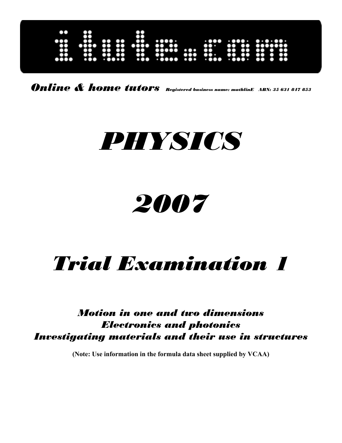

*Online & home tutors Registered business name: mathlinE ABN: 35 631 847 853*

# *PHYSICS*

## *2007*

## *Trial Examination 1*

*Motion in one and two dimensions Electronics and photonics Investigating materials and their use in structures* 

**(Note: Use information in the formula data sheet supplied by VCAA)**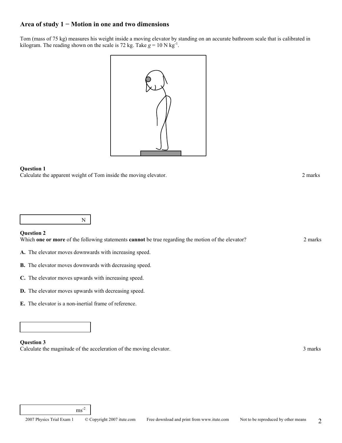## **Area of study 1 − Motion in one and two dimensions**

Tom (mass of 75 kg) measures his weight inside a moving elevator by standing on an accurate bathroom scale that is calibrated in kilogram. The reading shown on the scale is 72 kg. Take  $g = 10$  N kg<sup>-1</sup>.



## **Question 1**

Calculate the apparent weight of Tom inside the moving elevator. 2 marks

N

## **Question 2**

Which **one or more** of the following statements **cannot** be true regarding the motion of the elevator? 2 marks

- **A.** The elevator moves downwards with increasing speed.
- **B.** The elevator moves downwards with decreasing speed.
- **C.** The elevator moves upwards with increasing speed.
- **D.** The elevator moves upwards with decreasing speed.
- **E.** The elevator is a non-inertial frame of reference.

 $\mathrm{ms}^{\text{-}2}$ 

## **Question 3**

Calculate the magnitude of the acceleration of the moving elevator. 3 marks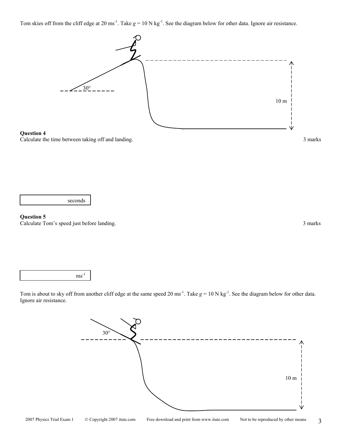10 m







Tom skies off from the cliff edge at 20 ms<sup>-1</sup>. Take  $g = 10$  N kg<sup>-1</sup>. See the diagram below for other data. Ignore air resistance.



 $ms^{-1}$ 

## **Question 5**

Calculate Tom's speed just before landing. 3 marks

30°

∧

ν

Tom is about to sky off from another cliff edge at the same speed 20 ms<sup>-1</sup>. Take  $g = 10$  N kg<sup>-1</sup>. See the diagram below for other data. Ignore air resistance.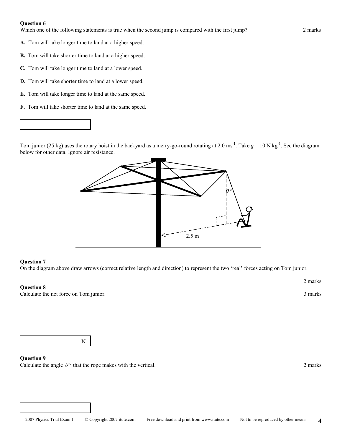## **Question 6**

Which one of the following statements is true when the second jump is compared with the first jump? 2 marks

- **A.** Tom will take longer time to land at a higher speed.
- **B.** Tom will take shorter time to land at a higher speed.
- **C.** Tom will take longer time to land at a lower speed.
- **D.** Tom will take shorter time to land at a lower speed.
- **E.** Tom will take longer time to land at the same speed.
- **F.** Tom will take shorter time to land at the same speed.

Tom junior (25 kg) uses the rotary hoist in the backyard as a merry-go-round rotating at 2.0 ms<sup>-1</sup>. Take  $g = 10$  N kg<sup>-1</sup>. See the diagram below for other data. Ignore air resistance.



## **Question 7**

On the diagram above draw arrows (correct relative length and direction) to represent the two 'real' forces acting on Tom junior.

## **Question 8**

Calculate the net force on Tom junior. 3 marks

2 marks

N

## **Question 9**

Calculate the angle  $\theta$ <sup>o</sup> that the rope makes with the vertical. 2 marks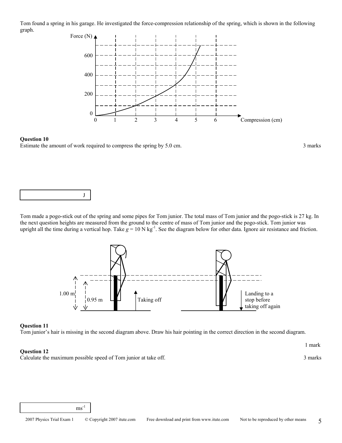Tom found a spring in his garage. He investigated the force-compression relationship of the spring, which is shown in the following graph.



## **Question 10**  Estimate the amount of work required to compress the spring by 5.0 cm. 3 marks



Tom made a pogo-stick out of the spring and some pipes for Tom junior. The total mass of Tom junior and the pogo-stick is 27 kg. In the next question heights are measured from the ground to the centre of mass of Tom junior and the pogo-stick. Tom junior was upright all the time during a vertical hop. Take  $g = 10 \text{ N kg}^{-1}$ . See the diagram below for other data. Ignore air resistance and friction.



## **Question 11**

Tom junior's hair is missing in the second diagram above. Draw his hair pointing in the correct direction in the second diagram.

## **Question 12**

Calculate the maximum possible speed of Tom junior at take off. 3 marks 3 marks

 $ms^{-1}$ 

1 mark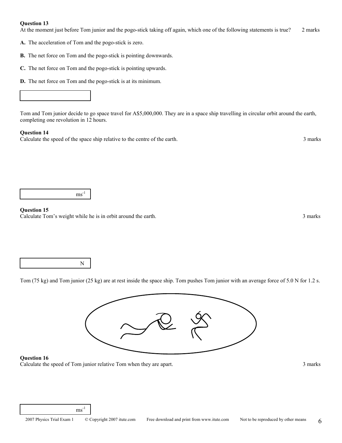## **Question 13**

At the moment just before Tom junior and the pogo-stick taking off again, which one of the following statements is true? 2 marks

- **A.** The acceleration of Tom and the pogo-stick is zero.
- **B.** The net force on Tom and the pogo-stick is pointing downwards.
- **C.** The net force on Tom and the pogo-stick is pointing upwards.
- **D.** The net force on Tom and the pogo-stick is at its minimum.



Tom and Tom junior decide to go space travel for A\$5,000,000. They are in a space ship travelling in circular orbit around the earth, completing one revolution in 12 hours.

## **Question 14**

Calculate the speed of the space ship relative to the centre of the earth. 3 marks

ms -1

## **Question 15**

Calculate Tom's weight while he is in orbit around the earth. 3 marks

N

Tom (75 kg) and Tom junior (25 kg) are at rest inside the space ship. Tom pushes Tom junior with an average force of 5.0 N for 1.2 s.



## **Question 16**

Calculate the speed of Tom junior relative Tom when they are apart. 3 marks

 $ms^{-1}$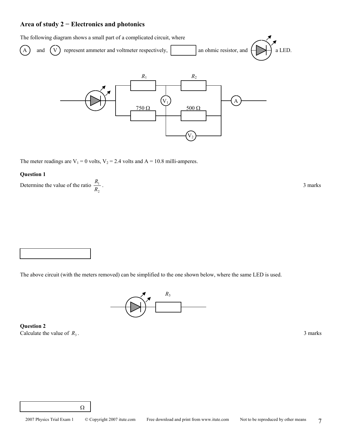## **Area of study 2 − Electronics and photonics**

The following diagram shows a small part of a complicated circuit, where



The meter readings are  $V_1 = 0$  volts,  $V_2 = 2.4$  volts and  $A = 10.8$  milli-amperes.

## **Question 1**

Determine the value of the ratio 2 1 *R*

 $\frac{R_1}{R_1}$ . 3 marks

The above circuit (with the meters removed) can be simplified to the one shown below, where the same LED is used.



**Question 2**  Calculate the value of  $R_3$ .  $\frac{3}{2}$  marks



Ω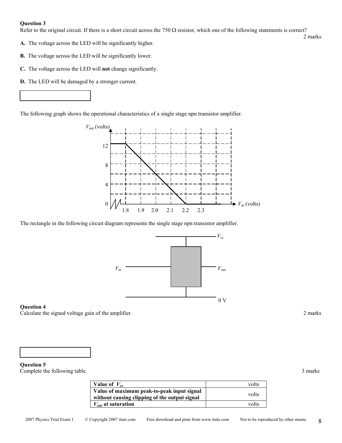## **Question 3**

Refer to the original circuit. If there is a short circuit across the 750  $\Omega$  resistor, which one of the following statements is correct?

2 marks

- **A.** The voltage across the LED will be significantly higher.
- **B.** The voltage across the LED will be significantly lower.
- **C.** The voltage across the LED will **not** change significantly.
- **D.** The LED will be damaged by a stronger current.

The following graph shows the operational characteristics of a single stage npn transistor amplifier.



The rectangle in the following circuit diagram represents the single stage npn transistor amplifier.



## **Question 4**

Calculate the signed voltage gain of the amplifier. 2 marks



**Question 5**  Complete the following table. 3 marks

| Value of $V_{cc}$                                                                           | volts |
|---------------------------------------------------------------------------------------------|-------|
| Value of maximum peak-to-peak input signal<br>without causing clipping of the output signal | volts |
| $V_{\text{out}}$ at saturation                                                              | volts |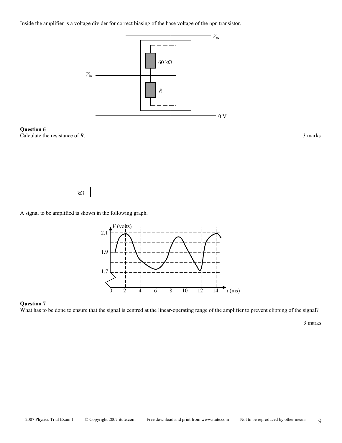Inside the amplifier is a voltage divider for correct biasing of the base voltage of the npn transistor.



**Question 6** 

Calculate the resistance of *R*. 3 marks



A signal to be amplified is shown in the following graph.



## **Question 7**

What has to be done to ensure that the signal is centred at the linear-operating range of the amplifier to prevent clipping of the signal?

3 marks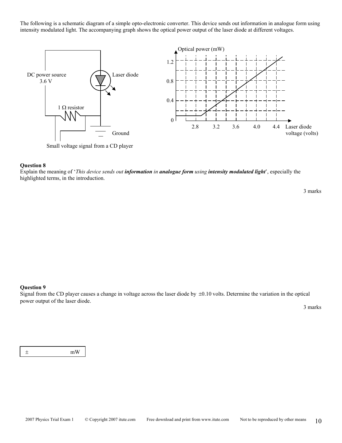The following is a schematic diagram of a simple opto-electronic converter. This device sends out information in analogue form using intensity modulated light. The accompanying graph shows the optical power output of the laser diode at different voltages.



Small voltage signal from a CD player

#### **Question 8**

Explain the meaning of '*This device sends out information in analogue form using intensity modulated light*', especially the highlighted terms, in the introduction.

3 marks

## **Question 9**

Signal from the CD player causes a change in voltage across the laser diode by  $\pm 0.10$  volts. Determine the variation in the optical power output of the laser diode.

3 marks

± mW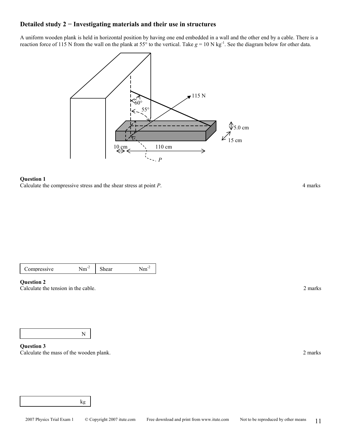## **Detailed study 2 − Investigating materials and their use in structures**

A uniform wooden plank is held in horizontal position by having one end embedded in a wall and the other end by a cable. There is a reaction force of 115 N from the wall on the plank at 55° to the vertical. Take  $g = 10$  N kg<sup>-1</sup>. See the diagram below for other data.



## **Question 1**

Calculate the compressive stress and the shear stress at point *P*. 4 marks

| Compressive | $\sim$<br>1.11 | near | ш |
|-------------|----------------|------|---|
|-------------|----------------|------|---|

## **Question 2**

Calculate the tension in the cable. 2 marks 2 marks 2 marks 2 marks 2 marks 2 marks 2 marks 2 marks 2 marks 2 marks 2 marks 2 marks 2 marks 2 marks 2 marks 2 marks 2 marks 2 marks 2 marks 2 marks 2 marks 2 marks 2 marks 2

N

**Question 3**  Calculate the mass of the wooden plank. 2 marks 2 marks 2 marks 2 marks 2 marks 2 marks 2 marks 2 marks 2 marks 2 marks 2 marks 2 marks 2 marks 2 marks 2 marks 2 marks 2 marks 2 marks 2 marks 2 marks 2 marks 2 marks 2 mark

kg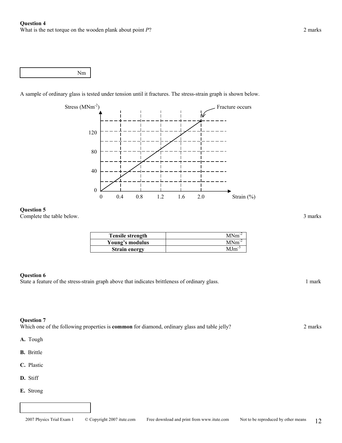Nm

A sample of ordinary glass is tested under tension until it fractures. The stress-strain graph is shown below.



## **Question 5**

Complete the table below. 3 marks

| <b>Tensile strength</b> | $MNm^{-2}$ |
|-------------------------|------------|
| Young's modulus         | $MNm^{-2}$ |
| <b>Strain energy</b>    | $MIm^2$    |

## **Question 6**

State a feature of the stress-strain graph above that indicates brittleness of ordinary glass. 1 mark

## **Question 7**

Which one of the following properties is **common** for diamond, ordinary glass and table jelly? 2 marks

**A.** Tough

- **B.** Brittle
- **C.** Plastic
- **D.** Stiff
- **E.** Strong